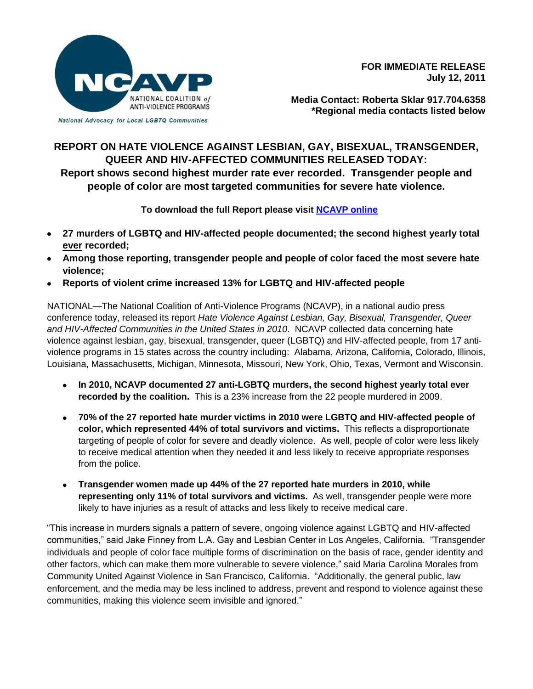

**FOR IMMEDIATE RELEASE July 12, 2011**

National Advocacy for Local LGBTQ Communities

**Media Contact: Roberta Sklar 917.704.6358 \*Regional media contacts listed below** 

## **REPORT ON HATE VIOLENCE AGAINST LESBIAN, GAY, BISEXUAL, TRANSGENDER, QUEER AND HIV-AFFECTED COMMUNITIES RELEASED TODAY: Report shows second highest murder rate ever recorded. Transgender people and people of color are most targeted communities for severe hate violence.**

**To download the full Report please visit [NCAVP online](http://www.avp.org/ncavp.htm)**

- **27 murders of LGBTQ and HIV-affected people documented; the second highest yearly total ever recorded;**
- **Among those reporting, transgender people and people of color faced the most severe hate violence;**
- **Reports of violent crime increased 13% for LGBTQ and HIV-affected people**

NATIONAL—The National Coalition of Anti-Violence Programs (NCAVP), in a national audio press conference today, released its report *Hate Violence Against Lesbian, Gay, Bisexual, Transgender, Queer and HIV-Affected Communities in the United States in 2010*. NCAVP collected data concerning hate violence against lesbian, gay, bisexual, transgender, queer (LGBTQ) and HIV-affected people, from 17 antiviolence programs in 15 states across the country including: Alabama, Arizona, California, Colorado, Illinois, Louisiana, Massachusetts, Michigan, Minnesota, Missouri, New York, Ohio, Texas, Vermont and Wisconsin.

- **In 2010, NCAVP documented 27 anti-LGBTQ murders, the second highest yearly total ever recorded by the coalition.** This is a 23% increase from the 22 people murdered in 2009.
- **70% of the 27 reported hate murder victims in 2010 were LGBTQ and HIV-affected people of color, which represented 44% of total survivors and victims.** This reflects a disproportionate targeting of people of color for severe and deadly violence. As well, people of color were less likely to receive medical attention when they needed it and less likely to receive appropriate responses from the police.
- **Transgender women made up 44% of the 27 reported hate murders in 2010, while representing only 11% of total survivors and victims.** As well, transgender people were more likely to have injuries as a result of attacks and less likely to receive medical care.

"This increase in murders signals a pattern of severe, ongoing violence against LGBTQ and HIV-affected communities," said Jake Finney from L.A. Gay and Lesbian Center in Los Angeles, California. "Transgender individuals and people of color face multiple forms of discrimination on the basis of race, gender identity and other factors, which can make them more vulnerable to severe violence," said Maria Carolina Morales from Community United Against Violence in San Francisco, California. "Additionally, the general public, law enforcement, and the media may be less inclined to address, prevent and respond to violence against these communities, making this violence seem invisible and ignored."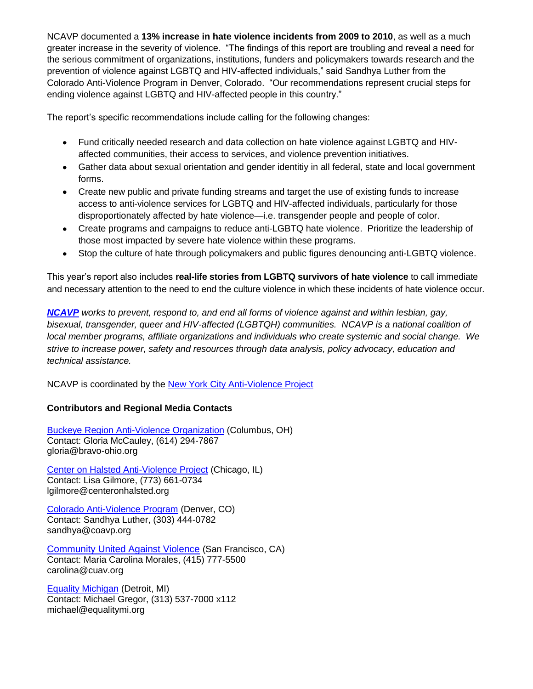NCAVP documented a **13% increase in hate violence incidents from 2009 to 2010**, as well as a much greater increase in the severity of violence. "The findings of this report are troubling and reveal a need for the serious commitment of organizations, institutions, funders and policymakers towards research and the prevention of violence against LGBTQ and HIV-affected individuals," said Sandhya Luther from the Colorado Anti-Violence Program in Denver, Colorado. "Our recommendations represent crucial steps for ending violence against LGBTQ and HIV-affected people in this country."

The report's specific recommendations include calling for the following changes:

- Fund critically needed research and data collection on hate violence against LGBTQ and HIVaffected communities, their access to services, and violence prevention initiatives.
- Gather data about sexual orientation and gender identitiy in all federal, state and local government forms.
- Create new public and private funding streams and target the use of existing funds to increase access to anti-violence services for LGBTQ and HIV-affected individuals, particularly for those disproportionately affected by hate violence—i.e. transgender people and people of color.
- Create programs and campaigns to reduce anti-LGBTQ hate violence. Prioritize the leadership of those most impacted by severe hate violence within these programs.
- Stop the culture of hate through policymakers and public figures denouncing anti-LGBTQ violence.

This year's report also includes **real-life stories from LGBTQ survivors of hate violence** to call immediate and necessary attention to the need to end the culture violence in which these incidents of hate violence occur.

*[NCAVP](http://www.avp.org/ncavp.htm) works to prevent, respond to, and end all forms of violence against and within lesbian, gay, bisexual, transgender, queer and HIV-affected (LGBTQH) communities. NCAVP is a national coalition of local member programs, affiliate organizations and individuals who create systemic and social change. We strive to increase power, safety and resources through data analysis, policy advocacy, education and technical assistance.* 

NCAVP is coordinated by the [New York City Anti-Violence Project](http://www.avp.org/)

## **Contributors and Regional Media Contacts**

[Buckeye Region Anti-Violence Organization](http://www.bravo-ohio.org/) (Columbus, OH) Contact: Gloria McCauley, (614) 294-7867 gloria@bravo-ohio.org

[Center on Halsted Anti-Violence Project](http://www.centeronhalsted.org/cohavp.html) (Chicago, IL) Contact: Lisa Gilmore, (773) 661-0734 lgilmore@centeronhalsted.org

[Colorado Anti-Violence Program](http://www.coavp.org/) (Denver, CO) Contact: Sandhya Luther, (303) 444-0782 sandhya@coavp.org

[Community United Against Violence](http://www.cuav.org/) (San Francisco, CA) Contact: Maria Carolina Morales, (415) 777-5500 carolina@cuav.org

[Equality Michigan](http://www.equalitymi.org/) (Detroit, MI) Contact: Michael Gregor, (313) 537-7000 x112 michael@equalitymi.org